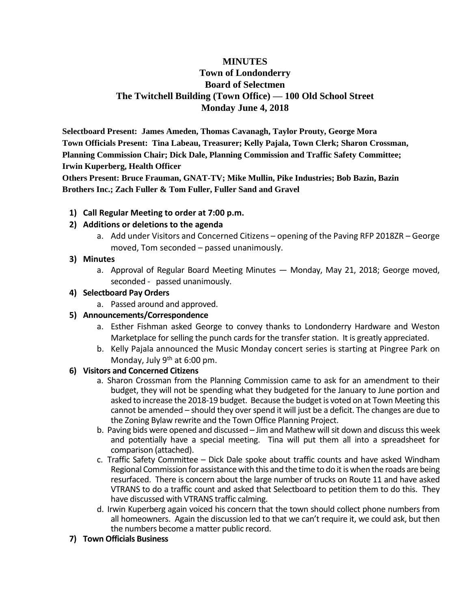# **MINUTES Town of Londonderry Board of Selectmen The Twitchell Building (Town Office) — 100 Old School Street Monday June 4, 2018**

**Selectboard Present: James Ameden, Thomas Cavanagh, Taylor Prouty, George Mora Town Officials Present: Tina Labeau, Treasurer; Kelly Pajala, Town Clerk; Sharon Crossman, Planning Commission Chair; Dick Dale, Planning Commission and Traffic Safety Committee; Irwin Kuperberg, Health Officer**

**Others Present: Bruce Frauman, GNAT-TV; Mike Mullin, Pike Industries; Bob Bazin, Bazin Brothers Inc.; Zach Fuller & Tom Fuller, Fuller Sand and Gravel**

## **1) Call Regular Meeting to order at 7:00 p.m.**

## **2) Additions or deletions to the agenda**

a. Add under Visitors and Concerned Citizens – opening of the Paving RFP 2018ZR – George moved, Tom seconded – passed unanimously.

## **3) Minutes**

a. Approval of Regular Board Meeting Minutes — Monday, May 21, 2018; George moved, seconded - passed unanimously.

## **4) Selectboard Pay Orders**

a. Passed around and approved.

# **5) Announcements/Correspondence**

- a. Esther Fishman asked George to convey thanks to Londonderry Hardware and Weston Marketplace for selling the punch cards for the transfer station. It is greatly appreciated.
- b. Kelly Pajala announced the Music Monday concert series is starting at Pingree Park on Monday, July  $9<sup>th</sup>$  at 6:00 pm.

# **6) Visitors and Concerned Citizens**

- a. Sharon Crossman from the Planning Commission came to ask for an amendment to their budget, they will not be spending what they budgeted for the January to June portion and asked to increase the 2018-19 budget. Because the budget is voted on at Town Meeting this cannot be amended – should they over spend it will just be a deficit. The changes are due to the Zoning Bylaw rewrite and the Town Office Planning Project.
- b. Paving bids were opened and discussed Jim and Mathew will sit down and discuss this week and potentially have a special meeting. Tina will put them all into a spreadsheet for comparison (attached).
- c. Traffic Safety Committee Dick Dale spoke about traffic counts and have asked Windham Regional Commission for assistance with this and the time to do it is when the roads are being resurfaced. There is concern about the large number of trucks on Route 11 and have asked VTRANS to do a traffic count and asked that Selectboard to petition them to do this. They have discussed with VTRANS traffic calming.
- d. Irwin Kuperberg again voiced his concern that the town should collect phone numbers from all homeowners. Again the discussion led to that we can't require it, we could ask, but then the numbers become a matter public record.

#### **7) Town Officials Business**